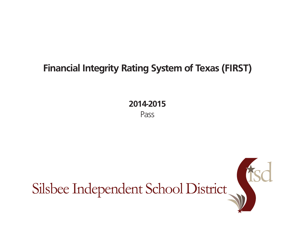## **Financial Integrity Rating System of Texas (FIRST)**

**2014-2015** Pass

Silsbee Independent School District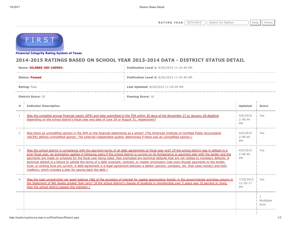**RATING YEAR**  $\boxed{2014-2015}$   $\boxed{\text{Select An Option}}$  Help  $\boxed{\text{Help}}$ 



**[Financial Integrity Rating Syste](http://tea4avwaylon.tea.state.tx.us/First/forms/main.aspx)m of Texas**

## **2014-2015 RATINGS BASED ON SCHOOL YEAR 2013-2014 DATA - DISTRICT STATUS DETAIL**

| Name: SILSBEE ISD(100904) |                                                                                                                                                                                                                                                                                                                                                                                                                                                                                                                                                                                                                                                                                                                                                                                                                                     | Publication Level 1: 8/20/2015 11:24:40 AM                                                                                                                                                                                                                                                                |                                    |                                   |
|---------------------------|-------------------------------------------------------------------------------------------------------------------------------------------------------------------------------------------------------------------------------------------------------------------------------------------------------------------------------------------------------------------------------------------------------------------------------------------------------------------------------------------------------------------------------------------------------------------------------------------------------------------------------------------------------------------------------------------------------------------------------------------------------------------------------------------------------------------------------------|-----------------------------------------------------------------------------------------------------------------------------------------------------------------------------------------------------------------------------------------------------------------------------------------------------------|------------------------------------|-----------------------------------|
| <b>Status: Passed</b>     |                                                                                                                                                                                                                                                                                                                                                                                                                                                                                                                                                                                                                                                                                                                                                                                                                                     | Publication Level 2: 8/20/2015 11:24:40 AM                                                                                                                                                                                                                                                                |                                    |                                   |
| <b>Rating: Pass</b>       |                                                                                                                                                                                                                                                                                                                                                                                                                                                                                                                                                                                                                                                                                                                                                                                                                                     | Last Updated: 8/20/2015 11:24:40 AM                                                                                                                                                                                                                                                                       |                                    |                                   |
| <b>District Score: 30</b> |                                                                                                                                                                                                                                                                                                                                                                                                                                                                                                                                                                                                                                                                                                                                                                                                                                     | <b>Passing Score: 16</b>                                                                                                                                                                                                                                                                                  |                                    |                                   |
| #                         | <b>Indicator Description</b>                                                                                                                                                                                                                                                                                                                                                                                                                                                                                                                                                                                                                                                                                                                                                                                                        |                                                                                                                                                                                                                                                                                                           | Updated                            | <b>Score</b>                      |
| 1                         | Was the complete annual financial report (AFR) and data submitted to the TEA within 30 days of the November 27 or January 28 deadline<br>depending on the school district's fiscal year end date of June 30 or August 31, respectively?                                                                                                                                                                                                                                                                                                                                                                                                                                                                                                                                                                                             |                                                                                                                                                                                                                                                                                                           | 4/6/2015<br>2:48:44<br><b>PM</b>   | Yes                               |
| $\overline{2}$            | Was there an unmodified opinion in the AFR on the financial statements as a whole? (The American Institute of Certified Public Accountants<br>(AICPA) defines unmodified opinion. The external independent auditor determines if there was an unmodified opinion.)                                                                                                                                                                                                                                                                                                                                                                                                                                                                                                                                                                  |                                                                                                                                                                                                                                                                                                           | 4/6/2015<br>2:48:45<br>PM          | Yes                               |
| 3                         | Was the school district in compliance with the payment terms of all debt agreements at fiscal year end? (If the school district was in default in a<br>prior fiscal year, an exemption applies in following years if the school district is current on its forbearance or payment plan with the lender and the<br>payments are made on schedule for the fiscal year being rated. Also exempted are technical defaults that are not related to monetary defaults. A<br>technical default is a failure to uphold the terms of a debt covenant, contract, or master promissory note even though payments to the lender,<br>trust, or sinking fund are current. A debt agreement is a legal agreement between a debtor (person, company, etc. that owes money) and their<br>creditors, which includes a plan for paying back the debt.) |                                                                                                                                                                                                                                                                                                           | 4/6/2015<br>2:48:45<br><b>PM</b>   | Yes                               |
| $\overline{4}$            | then the school district passes this indicator.)                                                                                                                                                                                                                                                                                                                                                                                                                                                                                                                                                                                                                                                                                                                                                                                    | Was the total unrestricted net asset balance (Net of the accretion of interest for capital appreciation bonds) in the governmental activities column in<br>the Statement of Net Assets greater than zero? (If the school district's change of students in membership over 5 years was 10 percent or more, | 7/30/2015<br>12:20:17<br><b>PM</b> | Yes                               |
|                           |                                                                                                                                                                                                                                                                                                                                                                                                                                                                                                                                                                                                                                                                                                                                                                                                                                     |                                                                                                                                                                                                                                                                                                           |                                    | $\mathbf{1}$<br>Multiplier<br>Sum |
|                           |                                                                                                                                                                                                                                                                                                                                                                                                                                                                                                                                                                                                                                                                                                                                                                                                                                     |                                                                                                                                                                                                                                                                                                           |                                    |                                   |